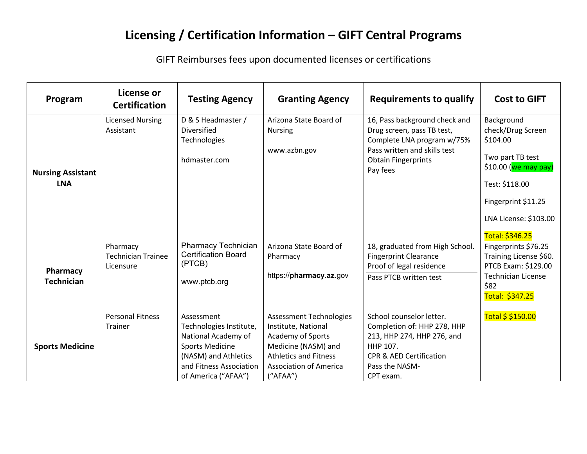## **Licensing / Certification Information – GIFT Central Programs**

GIFT Reimburses fees upon documented licenses or certifications

| Program                                | License or<br><b>Certification</b>                 | <b>Testing Agency</b>                                                                                                                                            | <b>Granting Agency</b>                                                                                                                                                         | <b>Requirements to qualify</b>                                                                                                                                         | <b>Cost to GIFT</b>                                                                                                                                                          |
|----------------------------------------|----------------------------------------------------|------------------------------------------------------------------------------------------------------------------------------------------------------------------|--------------------------------------------------------------------------------------------------------------------------------------------------------------------------------|------------------------------------------------------------------------------------------------------------------------------------------------------------------------|------------------------------------------------------------------------------------------------------------------------------------------------------------------------------|
| <b>Nursing Assistant</b><br><b>LNA</b> | <b>Licensed Nursing</b><br>Assistant               | D & S Headmaster /<br><b>Diversified</b><br>Technologies<br>hdmaster.com                                                                                         | Arizona State Board of<br><b>Nursing</b><br>www.azbn.gov                                                                                                                       | 16, Pass background check and<br>Drug screen, pass TB test,<br>Complete LNA program w/75%<br>Pass written and skills test<br><b>Obtain Fingerprints</b><br>Pay fees    | Background<br>check/Drug Screen<br>\$104.00<br>Two part TB test<br>\$10.00 (we may pay)<br>Test: \$118.00<br>Fingerprint \$11.25<br>LNA License: \$103.00<br>Total: \$346.25 |
| Pharmacy<br><b>Technician</b>          | Pharmacy<br><b>Technician Trainee</b><br>Licensure | Pharmacy Technician<br><b>Certification Board</b><br>(PTCB)<br>www.ptcb.org                                                                                      | Arizona State Board of<br>Pharmacy<br>https://pharmacy.az.gov                                                                                                                  | 18, graduated from High School.<br><b>Fingerprint Clearance</b><br>Proof of legal residence<br>Pass PTCB written test                                                  | Fingerprints \$76.25<br>Training License \$60.<br>PTCB Exam: \$129.00<br><b>Technician License</b><br>\$82<br>Total: \$347.25                                                |
| <b>Sports Medicine</b>                 | <b>Personal Fitness</b><br>Trainer                 | Assessment<br>Technologies Institute,<br>National Academy of<br><b>Sports Medicine</b><br>(NASM) and Athletics<br>and Fitness Association<br>of America ("AFAA") | <b>Assessment Technologies</b><br>Institute, National<br>Academy of Sports<br>Medicine (NASM) and<br><b>Athletics and Fitness</b><br><b>Association of America</b><br>("AFAA") | School counselor letter.<br>Completion of: HHP 278, HHP<br>213, HHP 274, HHP 276, and<br>HHP 107.<br><b>CPR &amp; AED Certification</b><br>Pass the NASM-<br>CPT exam. | Total \$ \$150.00                                                                                                                                                            |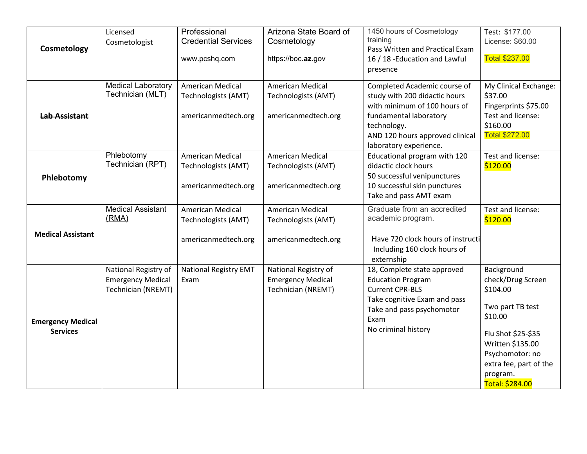| Cosmetology                                 | Licensed<br>Cosmetologist                                                     | Professional<br><b>Credential Services</b><br>www.pcshq.com           | Arizona State Board of<br>Cosmetology<br>https://boc.az.gov            | 1450 hours of Cosmetology<br>training<br>Pass Written and Practical Exam<br>16 / 18 - Education and Lawful<br>presence                                                                              | Test: \$177.00<br>License: \$60.00<br><b>Total \$237.00</b>                                                                                                                                      |
|---------------------------------------------|-------------------------------------------------------------------------------|-----------------------------------------------------------------------|------------------------------------------------------------------------|-----------------------------------------------------------------------------------------------------------------------------------------------------------------------------------------------------|--------------------------------------------------------------------------------------------------------------------------------------------------------------------------------------------------|
| <b>Lab Assistant</b>                        | <b>Medical Laboratory</b><br>Technician (MLT)                                 | American Medical<br>Technologists (AMT)<br>americanmedtech.org        | <b>American Medical</b><br>Technologists (AMT)<br>americanmedtech.org  | Completed Academic course of<br>study with 200 didactic hours<br>with minimum of 100 hours of<br>fundamental laboratory<br>technology.<br>AND 120 hours approved clinical<br>laboratory experience. | My Clinical Exchange:<br>\$37.00<br>Fingerprints \$75.00<br>Test and license:<br>\$160.00<br><b>Total \$272.00</b>                                                                               |
| Phlebotomy                                  | Phlebotomy<br>Technician (RPT)                                                | American Medical<br>Technologists (AMT)<br>americanmedtech.org        | <b>American Medical</b><br>Technologists (AMT)<br>americanmedtech.org  | Educational program with 120<br>didactic clock hours<br>50 successful venipunctures<br>10 successful skin punctures<br>Take and pass AMT exam                                                       | Test and license:<br>\$120.00                                                                                                                                                                    |
| <b>Medical Assistant</b>                    | <b>Medical Assistant</b><br>(RMA)                                             | <b>American Medical</b><br>Technologists (AMT)<br>americanmedtech.org | <b>American Medical</b><br>Technologists (AMT)<br>americanmedtech.org  | Graduate from an accredited<br>academic program.<br>Have 720 clock hours of instructi<br>Including 160 clock hours of<br>externship                                                                 | Test and license:<br>\$120.00                                                                                                                                                                    |
| <b>Emergency Medical</b><br><b>Services</b> | National Registry of<br><b>Emergency Medical</b><br><b>Technician (NREMT)</b> | <b>National Registry EMT</b><br>Exam                                  | National Registry of<br><b>Emergency Medical</b><br>Technician (NREMT) | 18, Complete state approved<br><b>Education Program</b><br><b>Current CPR-BLS</b><br>Take cognitive Exam and pass<br>Take and pass psychomotor<br>Exam<br>No criminal history                       | Background<br>check/Drug Screen<br>\$104.00<br>Two part TB test<br>\$10.00<br>Flu Shot \$25-\$35<br>Written \$135.00<br>Psychomotor: no<br>extra fee, part of the<br>program.<br>Total: \$284.00 |